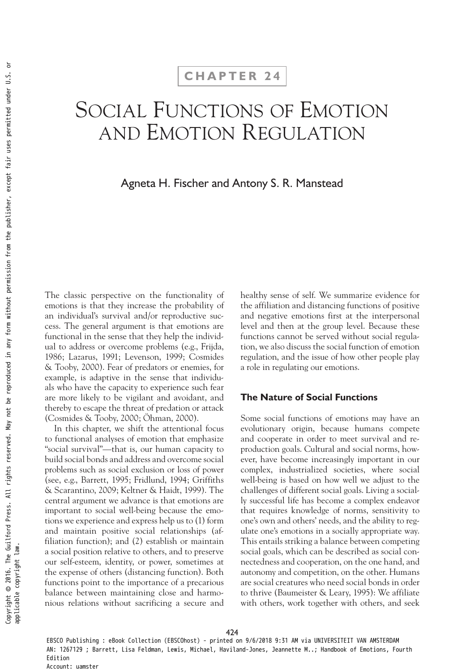# **Cha p ter 24**

# SOCIAL FUNCTIONS OF EMOTION and Emotion Regulation

Agneta H. Fischer and Antony S. R. Manstead

The classic perspective on the functionality of emotions is that they increase the probability of an individual's survival and/or reproductive success. The general argument is that emotions are functional in the sense that they help the individual to address or overcome problems (e.g., Frijda, 1986; Lazarus, 1991; Levenson, 1999; Cosmides & Tooby, 2000). Fear of predators or enemies, for example, is adaptive in the sense that individuals who have the capacity to experience such fear are more likely to be vigilant and avoidant, and thereby to escape the threat of predation or attack (Cosmides & Tooby, 2000; Öhman, 2000).

In this chapter, we shift the attentional focus to functional analyses of emotion that emphasize "social survival"—that is, our human capacity to build social bonds and address and overcome social problems such as social exclusion or loss of power (see, e.g., Barrett, 1995; Fridlund, 1994; Griffiths & Scarantino, 2009; Keltner & Haidt, 1999). The central argument we advance is that emotions are important to social well-being because the emotions we experience and express help us to (1) form and maintain positive social relationships (affiliation function); and (2) establish or maintain a social position relative to others, and to preserve our self-esteem, identity, or power, sometimes at the expense of others (distancing function). Both functions point to the importance of a precarious balance between maintaining close and harmonious relations without sacrificing a secure and healthy sense of self. We summarize evidence for the affiliation and distancing functions of positive and negative emotions first at the interpersonal level and then at the group level. Because these functions cannot be served without social regulation, we also discuss the social function of emotion regulation, and the issue of how other people play a role in regulating our emotions.

# **The Nature of Social Functions**

Some social functions of emotions may have an evolutionary origin, because humans compete and cooperate in order to meet survival and reproduction goals. Cultural and social norms, however, have become increasingly important in our complex, industrialized societies, where social well-being is based on how well we adjust to the challenges of different social goals. Living a socially successful life has become a complex endeavor that requires knowledge of norms, sensitivity to one's own and others' needs, and the ability to regulate one's emotions in a socially appropriate way. This entails striking a balance between competing social goals, which can be described as social connectedness and cooperation, on the one hand, and autonomy and competition, on the other. Humans are social creatures who need social bonds in order to thrive (Baumeister & Leary, 1995): We affiliate with others, work together with others, and seek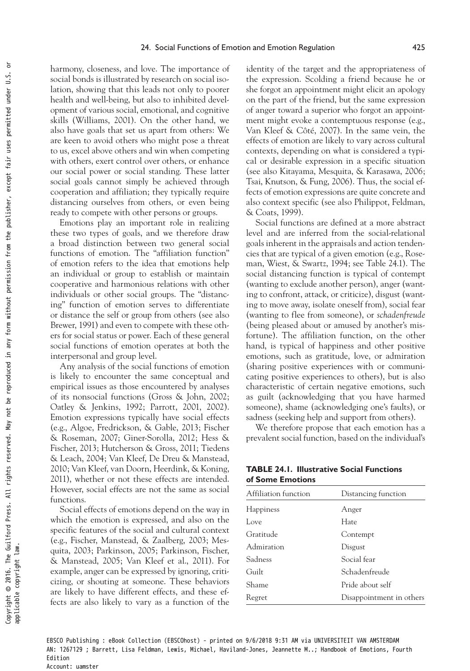harmony, closeness, and love. The importance of social bonds is illustrated by research on social isolation, showing that this leads not only to poorer health and well-being, but also to inhibited development of various social, emotional, and cognitive skills (Williams, 2001). On the other hand, we also have goals that set us apart from others: We are keen to avoid others who might pose a threat to us, excel above others and win when competing with others, exert control over others, or enhance our social power or social standing. These latter social goals cannot simply be achieved through cooperation and affiliation; they typically require distancing ourselves from others, or even being ready to compete with other persons or groups.

Emotions play an important role in realizing these two types of goals, and we therefore draw a broad distinction between two general social functions of emotion. The "affiliation function" of emotion refers to the idea that emotions help an individual or group to establish or maintain cooperative and harmonious relations with other individuals or other social groups. The "distancing" function of emotion serves to differentiate or distance the self or group from others (see also Brewer, 1991) and even to compete with these others for social status or power. Each of these general social functions of emotion operates at both the interpersonal and group level.

Any analysis of the social functions of emotion is likely to encounter the same conceptual and empirical issues as those encountered by analyses of its nonsocial functions (Gross & John, 2002; Oatley & Jenkins, 1992; Parrott, 2001, 2002). Emotion expressions typically have social effects (e.g., Algoe, Fredrickson, & Gable, 2013; Fischer & Roseman, 2007; Giner-Sorolla, 2012; Hess & Fischer, 2013; Hutcherson & Gross, 2011; Tiedens & Leach, 2004; Van Kleef, De Dreu & Manstead, 2010; Van Kleef, van Doorn, Heerdink, & Koning, 2011), whether or not these effects are intended. However, social effects are not the same as social functions.

Social effects of emotions depend on the way in which the emotion is expressed, and also on the specific features of the social and cultural context (e.g., Fischer, Manstead, & Zaalberg, 2003; Mesquita, 2003; Parkinson, 2005; Parkinson, Fischer, & Manstead, 2005; Van Kleef et al., 2011). For example, anger can be expressed by ignoring, criticizing, or shouting at someone. These behaviors are likely to have different effects, and these effects are also likely to vary as a function of the

identity of the target and the appropriateness of the expression. Scolding a friend because he or she forgot an appointment might elicit an apology on the part of the friend, but the same expression of anger toward a superior who forgot an appointment might evoke a contemptuous response (e.g., Van Kleef & Côté, 2007). In the same vein, the effects of emotion are likely to vary across cultural contexts, depending on what is considered a typical or desirable expression in a specific situation (see also Kitayama, Mesquita, & Karasawa, 2006; Tsai, Knutson, & Fung, 2006). Thus, the social effects of emotion expressions are quite concrete and also context specific (see also Philippot, Feldman, & Coats, 1999).

Social functions are defined at a more abstract level and are inferred from the social-relational goals inherent in the appraisals and action tendencies that are typical of a given emotion (e.g., Roseman, Wiest, & Swartz, 1994; see Table 24.1). The social distancing function is typical of contempt (wanting to exclude another person), anger (wanting to confront, attack, or criticize), disgust (wanting to move away, isolate oneself from), social fear (wanting to flee from someone), or *schadenfreude* (being pleased about or amused by another's misfortune). The affiliation function, on the other hand, is typical of happiness and other positive emotions, such as gratitude, love, or admiration (sharing positive experiences with or communicating positive experiences to others), but is also characteristic of certain negative emotions, such as guilt (acknowledging that you have harmed someone), shame (acknowledging one's faults), or sadness (seeking help and support from others).

We therefore propose that each emotion has a prevalent social function, based on the individual's

| TABLE ATH. MUSH GUVC SOCIAL LUNCHONS<br>of Some Emotions |                     |
|----------------------------------------------------------|---------------------|
| Affiliation function                                     | Distancing function |

**TABLE 24.1. Illustrative Social Functions** 

| Affiliation function | Distancing function      |
|----------------------|--------------------------|
| <b>Happiness</b>     | Anger                    |
| Love                 | Hate                     |
| Gratitude            | Contempt                 |
| Admiration           | Disgust                  |
| Sadness              | Social fear              |
| Guilt                | Schadenfreude            |
| Shame                | Pride about self         |
| Regret               | Disappointment in others |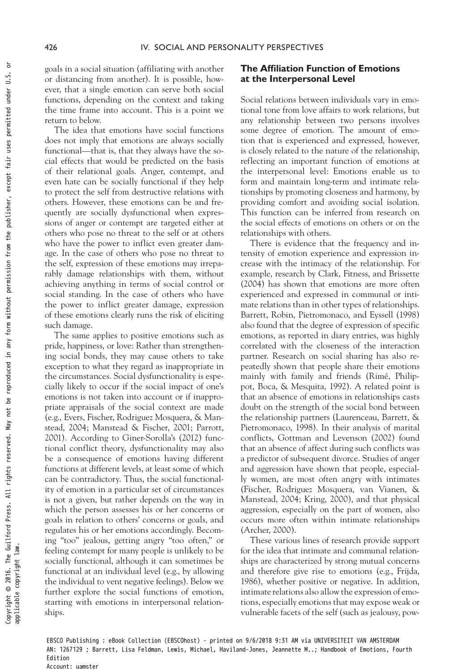goals in a social situation (affiliating with another or distancing from another). It is possible, however, that a single emotion can serve both social functions, depending on the context and taking the time frame into account. This is a point we return to below.

The idea that emotions have social functions does not imply that emotions are always socially functional—that is, that they always have the social effects that would be predicted on the basis of their relational goals. Anger, contempt, and even hate can be socially functional if they help to protect the self from destructive relations with others. However, these emotions can be and frequently are socially dysfunctional when expressions of anger or contempt are targeted either at others who pose no threat to the self or at others who have the power to inflict even greater damage. In the case of others who pose no threat to the self, expression of these emotions may irreparably damage relationships with them, without achieving anything in terms of social control or social standing. In the case of others who have the power to inflict greater damage, expression of these emotions clearly runs the risk of eliciting such damage.

The same applies to positive emotions such as pride, happiness, or love: Rather than strengthening social bonds, they may cause others to take exception to what they regard as inappropriate in the circumstances. Social dysfunctionality is especially likely to occur if the social impact of one's emotions is not taken into account or if inappropriate appraisals of the social context are made (e.g., Evers, Fischer, Rodriguez Mosquera, & Manstead, 2004; Manstead & Fischer, 2001; Parrott, 2001). According to Giner-Sorolla's (2012) functional conflict theory, dysfunctionality may also be a consequence of emotions having different functions at different levels, at least some of which can be contradictory. Thus, the social functionality of emotion in a particular set of circumstances is not a given, but rather depends on the way in which the person assesses his or her concerns or goals in relation to others' concerns or goals, and regulates his or her emotions accordingly. Becoming "too" jealous, getting angry "too often," or feeling contempt for many people is unlikely to be socially functional, although it can sometimes be functional at an individual level (e.g., by allowing the individual to vent negative feelings). Below we further explore the social functions of emotion, starting with emotions in interpersonal relationships.

### **The Affiliation Function of Emotions at the Interpersonal Level**

Social relations between individuals vary in emotional tone from love affairs to work relations, but any relationship between two persons involves some degree of emotion. The amount of emotion that is experienced and expressed, however, is closely related to the nature of the relationship, reflecting an important function of emotions at the interpersonal level: Emotions enable us to form and maintain long-term and intimate relationships by promoting closeness and harmony, by providing comfort and avoiding social isolation. This function can be inferred from research on the social effects of emotions on others or on the relationships with others.

There is evidence that the frequency and intensity of emotion experience and expression increase with the intimacy of the relationship. For example, research by Clark, Fitness, and Brissette (2004) has shown that emotions are more often experienced and expressed in communal or intimate relations than in other types of relationships. Barrett, Robin, Pietromonaco, and Eyssell (1998) also found that the degree of expression of specific emotions, as reported in diary entries, was highly correlated with the closeness of the interaction partner. Research on social sharing has also repeatedly shown that people share their emotions mainly with family and friends (Rimé, Philippot, Boca, & Mesquita, 1992). A related point is that an absence of emotions in relationships casts doubt on the strength of the social bond between the relationship partners (Laurenceau, Barrett, & Pietromonaco, 1998). In their analysis of marital conflicts, Gottman and Levenson (2002) found that an absence of affect during such conflicts was a predictor of subsequent divorce. Studies of anger and aggression have shown that people, especially women, are most often angry with intimates (Fischer, Rodriguez Mosquera, van Vianen, & Manstead, 2004; Kring, 2000), and that physical aggression, especially on the part of women, also occurs more often within intimate relationships (Archer, 2000).

These various lines of research provide support for the idea that intimate and communal relationships are characterized by strong mutual concerns and therefore give rise to emotions (e.g., Frijda, 1986), whether positive or negative. In addition, intimate relations also allow the expression of emotions, especially emotions that may expose weak or vulnerable facets of the self (such as jealousy, pow-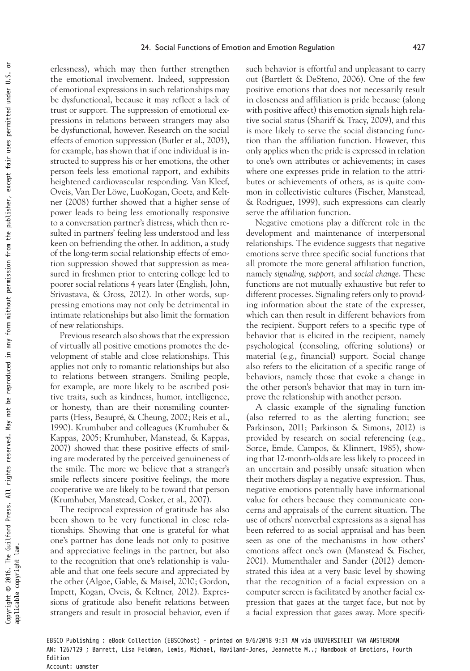erlessness), which may then further strengthen the emotional involvement. Indeed, suppression of emotional expressions in such relationships may be dysfunctional, because it may reflect a lack of trust or support. The suppression of emotional expressions in relations between strangers may also be dysfunctional, however. Research on the social effects of emotion suppression (Butler et al., 2003), for example, has shown that if one individual is instructed to suppress his or her emotions, the other person feels less emotional rapport, and exhibits heightened cardiovascular responding. Van Kleef, Oveis, Van Der Löwe, LuoKogan, Goetz, and Keltner (2008) further showed that a higher sense of power leads to being less emotionally responsive to a conversation partner's distress, which then resulted in partners' feeling less understood and less keen on befriending the other. In addition, a study of the long-term social relationship effects of emotion suppression showed that suppression as measured in freshmen prior to entering college led to poorer social relations 4 years later (English, John, Srivastava, & Gross, 2012). In other words, suppressing emotions may not only be detrimental in intimate relationships but also limit the formation of new relationships.

Previous research also shows that the expression of virtually all positive emotions promotes the development of stable and close relationships. This applies not only to romantic relationships but also to relations between strangers. Smiling people, for example, are more likely to be ascribed positive traits, such as kindness, humor, intelligence, or honesty, than are their nonsmiling counterparts (Hess, Beaupré, & Cheung, 2002; Reis et al., 1990). Krumhuber and colleagues (Krumhuber & Kappas, 2005; Krumhuber, Manstead, & Kappas, 2007) showed that these positive effects of smiling are moderated by the perceived genuineness of the smile. The more we believe that a stranger's smile reflects sincere positive feelings, the more cooperative we are likely to be toward that person (Krumhuber, Manstead, Cosker, et al., 2007).

The reciprocal expression of gratitude has also been shown to be very functional in close relationships. Showing that one is grateful for what one's partner has done leads not only to positive and appreciative feelings in the partner, but also to the recognition that one's relationship is valuable and that one feels secure and appreciated by the other (Algoe, Gable, & Maisel, 2010; Gordon, Impett, Kogan, Oveis, & Keltner, 2012). Expressions of gratitude also benefit relations between strangers and result in prosocial behavior, even if such behavior is effortful and unpleasant to carry out (Bartlett & DeSteno, 2006). One of the few positive emotions that does not necessarily result in closeness and affiliation is pride because (along with positive affect) this emotion signals high relative social status (Shariff & Tracy, 2009), and this is more likely to serve the social distancing function than the affiliation function. However, this only applies when the pride is expressed in relation to one's own attributes or achievements; in cases where one expresses pride in relation to the attributes or achievements of others, as is quite common in collectivistic cultures (Fischer, Manstead, & Rodriguez, 1999), such expressions can clearly serve the affiliation function.

Negative emotions play a different role in the development and maintenance of interpersonal relationships. The evidence suggests that negative emotions serve three specific social functions that all promote the more general affiliation function, namely *signaling*, *support*, and *social change*. These functions are not mutually exhaustive but refer to different processes. Signaling refers only to providing information about the state of the expresser, which can then result in different behaviors from the recipient. Support refers to a specific type of behavior that is elicited in the recipient, namely psychological (consoling, offering solutions) or material (e.g., financial) support. Social change also refers to the elicitation of a specific range of behaviors, namely those that evoke a change in the other person's behavior that may in turn improve the relationship with another person.

A classic example of the signaling function (also referred to as the alerting function; see Parkinson, 2011; Parkinson & Simons, 2012) is provided by research on social referencing (e.g., Sorce, Emde, Campos, & Klinnert, 1985), showing that 12-month-olds are less likely to proceed in an uncertain and possibly unsafe situation when their mothers display a negative expression. Thus, negative emotions potentially have informational value for others because they communicate concerns and appraisals of the current situation. The use of others' nonverbal expressions as a signal has been referred to as social appraisal and has been seen as one of the mechanisms in how others' emotions affect one's own (Manstead & Fischer, 2001). Mumenthaler and Sander (2012) demonstrated this idea at a very basic level by showing that the recognition of a facial expression on a computer screen is facilitated by another facial expression that gazes at the target face, but not by a facial expression that gazes away. More specifi-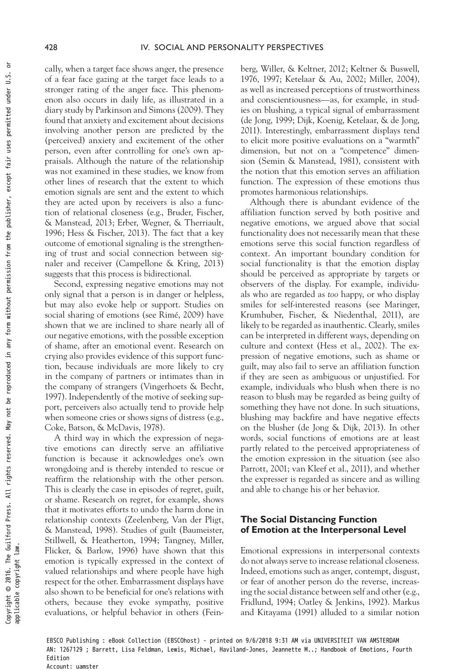cally, when a target face shows anger, the presence of a fear face gazing at the target face leads to a stronger rating of the anger face. This phenomenon also occurs in daily life, as illustrated in a diary study by Parkinson and Simons (2009). They found that anxiety and excitement about decisions involving another person are predicted by the (perceived) anxiety and excitement of the other person, even after controlling for one's own appraisals. Although the nature of the relationship was not examined in these studies, we know from other lines of research that the extent to which emotion signals are sent and the extent to which they are acted upon by receivers is also a function of relational closeness (e.g., Bruder, Fischer, & Manstead, 2013; Erber, Wegner, & Therriault, 1996; Hess & Fischer, 2013). The fact that a key outcome of emotional signaling is the strengthening of trust and social connection between signaler and receiver (Campellone & Kring, 2013) suggests that this process is bidirectional.

Second, expressing negative emotions may not only signal that a person is in danger or helpless, but may also evoke help or support. Studies on social sharing of emotions (see Rimé, 2009) have shown that we are inclined to share nearly all of our negative emotions, with the possible exception of shame, after an emotional event. Research on crying also provides evidence of this support function, because individuals are more likely to cry in the company of partners or intimates than in the company of strangers (Vingerhoets & Becht, 1997). Independently of the motive of seeking support, perceivers also actually tend to provide help when someone cries or shows signs of distress (e.g., Coke, Batson, & McDavis, 1978).

A third way in which the expression of negative emotions can directly serve an affiliative function is because it acknowledges one's own wrongdoing and is thereby intended to rescue or reaffirm the relationship with the other person. This is clearly the case in episodes of regret, guilt, or shame. Research on regret, for example, shows that it motivates efforts to undo the harm done in relationship contexts (Zeelenberg, Van der Pligt, & Manstead, 1998). Studies of guilt (Baumeister, Stillwell, & Heatherton, 1994; Tangney, Miller, Flicker, & Barlow, 1996) have shown that this emotion is typically expressed in the context of valued relationships and where people have high respect for the other. Embarrassment displays have also shown to be beneficial for one's relations with others, because they evoke sympathy, positive evaluations, or helpful behavior in others (Fein-

berg, Willer, & Keltner, 2012; Keltner & Buswell, 1976, 1997; Ketelaar & Au, 2002; Miller, 2004), as well as increased perceptions of trustworthiness and conscientiousness—as, for example, in studies on blushing, a typical signal of embarrassment (de Jong, 1999; Dijk, Koenig, Ketelaar, & de Jong, 2011). Interestingly, embarrassment displays tend to elicit more positive evaluations on a "warmth" dimension, but not on a "competence" dimension (Semin & Manstead, 1981), consistent with the notion that this emotion serves an affiliation function. The expression of these emotions thus promotes harmonious relationships.

Although there is abundant evidence of the affiliation function served by both positive and negative emotions, we argued above that social functionality does not necessarily mean that these emotions serve this social function regardless of context. An important boundary condition for social functionality is that the emotion display should be perceived as appropriate by targets or observers of the display. For example, individuals who are regarded as *too* happy, or who display smiles for self-interested reasons (see Maringer, Krumhuber, Fischer, & Niedenthal, 2011), are likely to be regarded as inauthentic. Clearly, smiles can be interpreted in different ways, depending on culture and context (Hess et al., 2002). The expression of negative emotions, such as shame or guilt, may also fail to serve an affiliation function if they are seen as ambiguous or unjustified. For example, individuals who blush when there is no reason to blush may be regarded as being guilty of something they have not done. In such situations, blushing may backfire and have negative effects on the blusher (de Jong & Dijk, 2013). In other words, social functions of emotions are at least partly related to the perceived appropriateness of the emotion expression in the situation (see also Parrott, 2001; van Kleef et al., 2011), and whether the expresser is regarded as sincere and as willing and able to change his or her behavior.

# **The Social Distancing Function of Emotion at the Interpersonal Level**

Emotional expressions in interpersonal contexts do not always serve to increase relational closeness. Indeed, emotions such as anger, contempt, disgust, or fear of another person do the reverse, increasing the social distance between self and other (e.g., Fridlund, 1994; Oatley & Jenkins, 1992). Markus and Kitayama (1991) alluded to a similar notion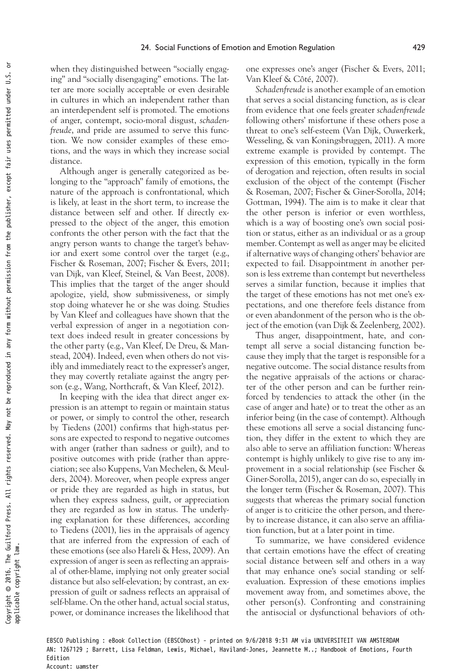when they distinguished between "socially engaging" and "socially disengaging" emotions. The latter are more socially acceptable or even desirable in cultures in which an independent rather than an interdependent self is promoted. The emotions of anger, contempt, socio-moral disgust, *schadenfreude*, and pride are assumed to serve this function. We now consider examples of these emotions, and the ways in which they increase social distance.

Although anger is generally categorized as belonging to the "approach" family of emotions, the nature of the approach is confrontational, which is likely, at least in the short term, to increase the distance between self and other. If directly expressed to the object of the anger, this emotion confronts the other person with the fact that the angry person wants to change the target's behavior and exert some control over the target (e.g., Fischer & Roseman, 2007; Fischer & Evers, 2011; van Dijk, van Kleef, Steinel, & Van Beest, 2008). This implies that the target of the anger should apologize, yield, show submissiveness, or simply stop doing whatever he or she was doing. Studies by Van Kleef and colleagues have shown that the verbal expression of anger in a negotiation context does indeed result in greater concessions by the other party (e.g., Van Kleef, De Dreu, & Manstead, 2004). Indeed, even when others do not visibly and immediately react to the expresser's anger, they may covertly retaliate against the angry person (e.g., Wang, Northcraft, & Van Kleef, 2012).

In keeping with the idea that direct anger expression is an attempt to regain or maintain status or power, or simply to control the other, research by Tiedens (2001) confirms that high-status persons are expected to respond to negative outcomes with anger (rather than sadness or guilt), and to positive outcomes with pride (rather than appreciation; see also Kuppens, Van Mechelen, & Meulders, 2004). Moreover, when people express anger or pride they are regarded as high in status, but when they express sadness, guilt, or appreciation they are regarded as low in status. The underlying explanation for these differences, according to Tiedens (2001), lies in the appraisals of agency that are inferred from the expression of each of these emotions (see also Hareli & Hess, 2009). An expression of anger is seen as reflecting an appraisal of other-blame, implying not only greater social distance but also self-elevation; by contrast, an expression of guilt or sadness reflects an appraisal of self-blame. On the other hand, actual social status, power, or dominance increases the likelihood that one expresses one's anger (Fischer & Evers, 2011; Van Kleef & Côté, 2007).

*Schadenfreude* is another example of an emotion that serves a social distancing function, as is clear from evidence that one feels greater *schadenfreude* following others' misfortune if these others pose a threat to one's self-esteem (Van Dijk, Ouwerkerk, Wesseling, & van Koningsbruggen, 2011). A more extreme example is provided by contempt. The expression of this emotion, typically in the form of derogation and rejection, often results in social exclusion of the object of the contempt (Fischer & Roseman, 2007; Fischer & Giner-Sorolla, 2014; Gottman, 1994). The aim is to make it clear that the other person is inferior or even worthless, which is a way of boosting one's own social position or status, either as an individual or as a group member. Contempt as well as anger may be elicited if alternative ways of changing others' behavior are expected to fail. Disappointment *in* another person is less extreme than contempt but nevertheless serves a similar function, because it implies that the target of these emotions has not met one's expectations, and one therefore feels distance from or even abandonment of the person who is the object of the emotion (van Dijk & Zeelenberg, 2002).

Thus anger, disappointment, hate, and contempt all serve a social distancing function because they imply that the target is responsible for a negative outcome. The social distance results from the negative appraisals of the actions or character of the other person and can be further reinforced by tendencies to attack the other (in the case of anger and hate) or to treat the other as an inferior being (in the case of contempt). Although these emotions all serve a social distancing function, they differ in the extent to which they are also able to serve an affiliation function: Whereas contempt is highly unlikely to give rise to any improvement in a social relationship (see Fischer & Giner-Sorolla, 2015), anger can do so, especially in the longer term (Fischer & Roseman, 2007). This suggests that whereas the primary social function of anger is to criticize the other person, and thereby to increase distance, it can also serve an affiliation function, but at a later point in time.

To summarize, we have considered evidence that certain emotions have the effect of creating social distance between self and others in a way that may enhance one's social standing or selfevaluation. Expression of these emotions implies movement away from, and sometimes above, the other person(s). Confronting and constraining the antisocial or dysfunctional behaviors of oth-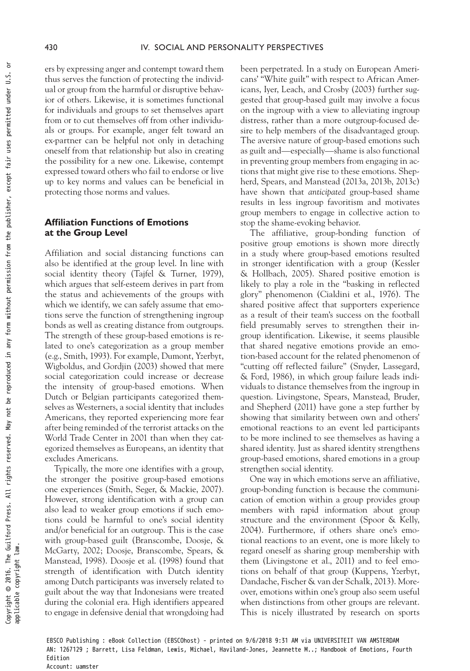ers by expressing anger and contempt toward them thus serves the function of protecting the individual or group from the harmful or disruptive behavior of others. Likewise, it is sometimes functional for individuals and groups to set themselves apart from or to cut themselves off from other individuals or groups. For example, anger felt toward an ex-partner can be helpful not only in detaching oneself from that relationship but also in creating the possibility for a new one. Likewise, contempt expressed toward others who fail to endorse or live up to key norms and values can be beneficial in protecting those norms and values.

### **Affiliation Functions of Emotions at the Group Level**

Affiliation and social distancing functions can also be identified at the group level. In line with social identity theory (Tajfel & Turner, 1979), which argues that self-esteem derives in part from the status and achievements of the groups with which we identify, we can safely assume that emotions serve the function of strengthening ingroup bonds as well as creating distance from outgroups. The strength of these group-based emotions is related to one's categorization as a group member (e.g., Smith, 1993). For example, Dumont, Yzerbyt, Wigboldus, and Gordjin (2003) showed that mere social categorization could increase or decrease the intensity of group-based emotions. When Dutch or Belgian participants categorized themselves as Westerners, a social identity that includes Americans, they reported experiencing more fear after being reminded of the terrorist attacks on the World Trade Center in 2001 than when they categorized themselves as Europeans, an identity that excludes Americans.

Typically, the more one identifies with a group, the stronger the positive group-based emotions one experiences (Smith, Seger, & Mackie, 2007). However, strong identification with a group can also lead to weaker group emotions if such emotions could be harmful to one's social identity and/or beneficial for an outgroup. This is the case with group-based guilt (Branscombe, Doosje, & McGarty, 2002; Doosje, Branscombe, Spears, & Manstead, 1998). Doosje et al. (1998) found that strength of identification with Dutch identity among Dutch participants was inversely related to guilt about the way that Indonesians were treated during the colonial era. High identifiers appeared to engage in defensive denial that wrongdoing had been perpetrated. In a study on European Americans' "White guilt" with respect to African Americans, Iyer, Leach, and Crosby (2003) further suggested that group-based guilt may involve a focus on the ingroup with a view to alleviating ingroup distress, rather than a more outgroup-focused desire to help members of the disadvantaged group. The aversive nature of group-based emotions such as guilt and—especially—shame is also functional in preventing group members from engaging in actions that might give rise to these emotions. Shepherd, Spears, and Manstead (2013a, 2013b, 2013c) have shown that *anticipated* group-based shame results in less ingroup favoritism and motivates group members to engage in collective action to stop the shame-evoking behavior.

The affiliative, group-bonding function of positive group emotions is shown more directly in a study where group-based emotions resulted in stronger identification with a group (Kessler & Hollbach, 2005). Shared positive emotion is likely to play a role in the "basking in reflected glory" phenomenon (Cialdini et al., 1976). The shared positive affect that supporters experience as a result of their team's success on the football field presumably serves to strengthen their ingroup identification. Likewise, it seems plausible that shared negative emotions provide an emotion-based account for the related phenomenon of "cutting off reflected failure" (Snyder, Lassegard, & Ford, 1986), in which group failure leads individuals to distance themselves from the ingroup in question. Livingstone, Spears, Manstead, Bruder, and Shepherd (2011) have gone a step further by showing that similarity between own and others' emotional reactions to an event led participants to be more inclined to see themselves as having a shared identity. Just as shared identity strengthens group-based emotions, shared emotions in a group strengthen social identity.

One way in which emotions serve an affiliative, group-bonding function is because the communication of emotion within a group provides group members with rapid information about group structure and the environment (Spoor & Kelly, 2004). Furthermore, if others share one's emotional reactions to an event, one is more likely to regard oneself as sharing group membership with them (Livingstone et al., 2011) and to feel emotions on behalf of that group (Kuppens, Yzerbyt, Dandache, Fischer & van der Schalk, 2013). Moreover, emotions within one's group also seem useful when distinctions from other groups are relevant. This is nicely illustrated by research on sports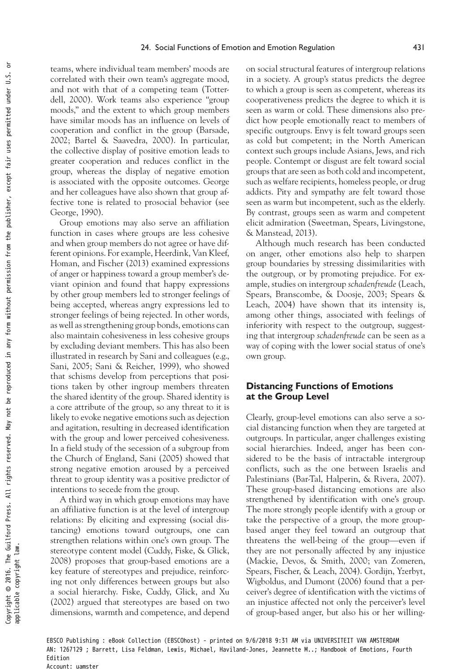teams, where individual team members' moods are correlated with their own team's aggregate mood, and not with that of a competing team (Totterdell, 2000). Work teams also experience "group moods," and the extent to which group members have similar moods has an influence on levels of cooperation and conflict in the group (Barsade, 2002; Bartel & Saavedra, 2000). In particular, the collective display of positive emotion leads to greater cooperation and reduces conflict in the group, whereas the display of negative emotion is associated with the opposite outcomes. George and her colleagues have also shown that group affective tone is related to prosocial behavior (see George, 1990).

Group emotions may also serve an affiliation function in cases where groups are less cohesive and when group members do not agree or have different opinions. For example, Heerdink, Van Kleef, Homan, and Fischer (2013) examined expressions of anger or happiness toward a group member's deviant opinion and found that happy expressions by other group members led to stronger feelings of being accepted, whereas angry expressions led to stronger feelings of being rejected. In other words, as well as strengthening group bonds, emotions can also maintain cohesiveness in less cohesive groups by excluding deviant members. This has also been illustrated in research by Sani and colleagues (e.g., Sani, 2005; Sani & Reicher, 1999), who showed that schisms develop from perceptions that positions taken by other ingroup members threaten the shared identity of the group. Shared identity is a core attribute of the group, so any threat to it is likely to evoke negative emotions such as dejection and agitation, resulting in decreased identification with the group and lower perceived cohesiveness. In a field study of the secession of a subgroup from the Church of England, Sani (2005) showed that strong negative emotion aroused by a perceived threat to group identity was a positive predictor of intentions to secede from the group.

A third way in which group emotions may have an affiliative function is at the level of intergroup relations: By eliciting and expressing (social distancing) emotions toward outgroups, one can strengthen relations within one's own group. The stereotype content model (Cuddy, Fiske, & Glick, 2008) proposes that group-based emotions are a key feature of stereotypes and prejudice, reinforcing not only differences between groups but also a social hierarchy. Fiske, Cuddy, Glick, and Xu (2002) argued that stereotypes are based on two dimensions, warmth and competence, and depend on social structural features of intergroup relations in a society. A group's status predicts the degree to which a group is seen as competent, whereas its cooperativeness predicts the degree to which it is seen as warm or cold. These dimensions also predict how people emotionally react to members of specific outgroups. Envy is felt toward groups seen as cold but competent; in the North American context such groups include Asians, Jews, and rich people. Contempt or disgust are felt toward social groups that are seen as both cold and incompetent, such as welfare recipients, homeless people, or drug addicts. Pity and sympathy are felt toward those seen as warm but incompetent, such as the elderly. By contrast, groups seen as warm and competent elicit admiration (Sweetman, Spears, Livingstone, & Manstead, 2013).

Although much research has been conducted on anger, other emotions also help to sharpen group boundaries by stressing dissimilarities with the outgroup, or by promoting prejudice. For example, studies on intergroup *schadenfreude* (Leach, Spears, Branscombe, & Doosje, 2003; Spears & Leach, 2004) have shown that its intensity is, among other things, associated with feelings of inferiority with respect to the outgroup, suggesting that intergroup *schadenfreude* can be seen as a way of coping with the lower social status of one's own group.

## **Distancing Functions of Emotions at the Group Level**

Clearly, group-level emotions can also serve a social distancing function when they are targeted at outgroups. In particular, anger challenges existing social hierarchies. Indeed, anger has been considered to be the basis of intractable intergroup conflicts, such as the one between Israelis and Palestinians (Bar-Tal, Halperin, & Rivera, 2007). These group-based distancing emotions are also strengthened by identification with one's group. The more strongly people identify with a group or take the perspective of a group, the more groupbased anger they feel toward an outgroup that threatens the well-being of the group—even if they are not personally affected by any injustice (Mackie, Devos, & Smith, 2000; van Zomeren, Spears, Fischer, & Leach, 2004). Gordijn, Yzerbyt, Wigboldus, and Dumont (2006) found that a perceiver's degree of identification with the victims of an injustice affected not only the perceiver's level of group-based anger, but also his or her willing-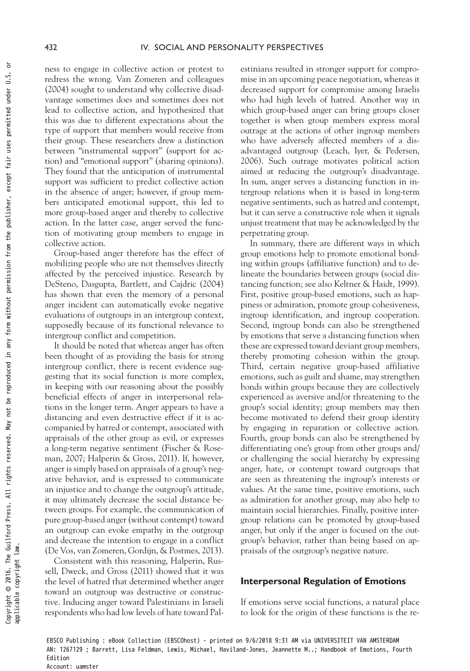ness to engage in collective action or protest to redress the wrong. Van Zomeren and colleagues (2004) sought to understand why collective disadvantage sometimes does and sometimes does not lead to collective action, and hypothesized that this was due to different expectations about the type of support that members would receive from their group. These researchers drew a distinction between "instrumental support" (support for action) and "emotional support" (sharing opinions). They found that the anticipation of instrumental support was sufficient to predict collective action in the absence of anger; however, if group members anticipated emotional support, this led to more group-based anger and thereby to collective action. In the latter case, anger served the function of motivating group members to engage in collective action.

Group-based anger therefore has the effect of mobilizing people who are not themselves directly affected by the perceived injustice. Research by DeSteno, Dasgupta, Bartlett, and Cajdric (2004) has shown that even the memory of a personal anger incident can automatically evoke negative evaluations of outgroups in an intergroup context, supposedly because of its functional relevance to intergroup conflict and competition.

It should be noted that whereas anger has often been thought of as providing the basis for strong intergroup conflict, there is recent evidence suggesting that its social function is more complex, in keeping with our reasoning about the possibly beneficial effects of anger in interpersonal relations in the longer term. Anger appears to have a distancing and even destructive effect if it is accompanied by hatred or contempt, associated with appraisals of the other group as evil, or expresses a long-term negative sentiment (Fischer & Roseman, 2007; Halperin & Gross, 2011). If, however, anger is simply based on appraisals of a group's negative behavior, and is expressed to communicate an injustice and to change the outgroup's attitude, it may ultimately decrease the social distance between groups. For example, the communication of pure group-based anger (without contempt) toward an outgroup can evoke empathy in the outgroup and decrease the intention to engage in a conflict (De Vos, van Zomeren, Gordijn, & Postmes, 2013).

Consistent with this reasoning, Halperin, Russell, Dweck, and Gross (2011) showed that it was the level of hatred that determined whether anger toward an outgroup was destructive or constructive. Inducing anger toward Palestinians in Israeli respondents who had low levels of hate toward Palestinians resulted in stronger support for compromise in an upcoming peace negotiation, whereas it decreased support for compromise among Israelis who had high levels of hatred. Another way in which group-based anger can bring groups closer together is when group members express moral outrage at the actions of other ingroup members who have adversely affected members of a disadvantaged outgroup (Leach, Iyer, & Pedersen, 2006). Such outrage motivates political action aimed at reducing the outgroup's disadvantage. In sum, anger serves a distancing function in intergroup relations when it is based in long-term negative sentiments, such as hatred and contempt, but it can serve a constructive role when it signals unjust treatment that may be acknowledged by the perpetrating group.

In summary, there are different ways in which group emotions help to promote emotional bonding within groups (affiliative function) and to delineate the boundaries between groups (social distancing function; see also Keltner & Haidt, 1999). First, positive group-based emotions, such as happiness or admiration, promote group cohesiveness, ingroup identification, and ingroup cooperation. Second, ingroup bonds can also be strengthened by emotions that serve a distancing function when these are expressed toward deviant group members, thereby promoting cohesion within the group. Third, certain negative group-based affiliative emotions, such as guilt and shame, may strengthen bonds within groups because they are collectively experienced as aversive and/or threatening to the group's social identity; group members may then become motivated to defend their group identity by engaging in reparation or collective action. Fourth, group bonds can also be strengthened by differentiating one's group from other groups and/ or challenging the social hierarchy by expressing anger, hate, or contempt toward outgroups that are seen as threatening the ingroup's interests or values. At the same time, positive emotions, such as admiration for another group, may also help to maintain social hierarchies. Finally, positive intergroup relations can be promoted by group-based anger, but only if the anger is focused on the outgroup's behavior, rather than being based on appraisals of the outgroup's negative nature.

#### **Interpersonal Regulation of Emotions**

If emotions serve social functions, a natural place to look for the origin of these functions is the re-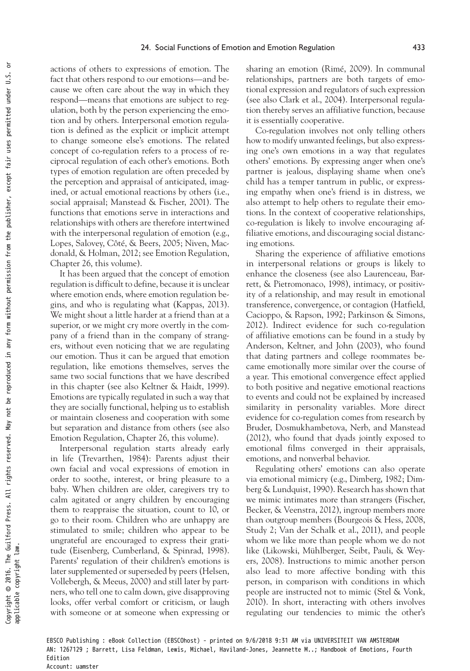applicable copyright law.

applicable copyright law.

Copyright @ 2016. The Guilford Press. All rights reserved. May

reproduced in any

å not actions of others to expressions of emotion. The fact that others respond to our emotions—and because we often care about the way in which they respond—means that emotions are subject to regulation, both by the person experiencing the emotion and by others. Interpersonal emotion regulation is defined as the explicit or implicit attempt to change someone else's emotions. The related concept of co-regulation refers to a process of reciprocal regulation of each other's emotions. Both types of emotion regulation are often preceded by the perception and appraisal of anticipated, imagined, or actual emotional reactions by others (i.e., social appraisal; Manstead & Fischer, 2001). The functions that emotions serve in interactions and relationships with others are therefore intertwined with the interpersonal regulation of emotion (e.g., Lopes, Salovey, Côté, & Beers, 2005; Niven, Macdonald, & Holman, 2012; see Emotion Regulation, Chapter 26, this volume).

It has been argued that the concept of emotion regulation is difficult to define, because it is unclear where emotion ends, where emotion regulation begins, and who is regulating what (Kappas, 2013). We might shout a little harder at a friend than at a superior, or we might cry more overtly in the company of a friend than in the company of strangers, without even noticing that we are regulating our emotion. Thus it can be argued that emotion regulation, like emotions themselves, serves the same two social functions that we have described in this chapter (see also Keltner & Haidt, 1999). Emotions are typically regulated in such a way that they are socially functional, helping us to establish or maintain closeness and cooperation with some but separation and distance from others (see also Emotion Regulation, Chapter 26, this volume).

Interpersonal regulation starts already early in life (Trevarthen, 1984): Parents adjust their own facial and vocal expressions of emotion in order to soothe, interest, or bring pleasure to a baby. When children are older, caregivers try to calm agitated or angry children by encouraging them to reappraise the situation, count to 10, or go to their room. Children who are unhappy are stimulated to smile; children who appear to be ungrateful are encouraged to express their gratitude (Eisenberg, Cumberland, & Spinrad, 1998). Parents' regulation of their children's emotions is later supplemented or superseded by peers (Helsen, Vollebergh, & Meeus, 2000) and still later by partners, who tell one to calm down, give disapproving looks, offer verbal comfort or criticism, or laugh with someone or at someone when expressing or sharing an emotion (Rimé, 2009). In communal relationships, partners are both targets of emotional expression and regulators of such expression (see also Clark et al., 2004). Interpersonal regulation thereby serves an affiliative function, because it is essentially cooperative.

Co-regulation involves not only telling others how to modify unwanted feelings, but also expressing one's own emotions in a way that regulates others' emotions. By expressing anger when one's partner is jealous, displaying shame when one's child has a temper tantrum in public, or expressing empathy when one's friend is in distress, we also attempt to help others to regulate their emotions. In the context of cooperative relationships, co-regulation is likely to involve encouraging affiliative emotions, and discouraging social distancing emotions.

Sharing the experience of affiliative emotions in interpersonal relations or groups is likely to enhance the closeness (see also Laurenceau, Barrett, & Pietromonaco, 1998), intimacy, or positivity of a relationship, and may result in emotional transference, convergence, or contagion (Hatfield, Cacioppo, & Rapson, 1992; Parkinson & Simons, 2012). Indirect evidence for such co-regulation of affiliative emotions can be found in a study by Anderson, Keltner, and John (2003), who found that dating partners and college roommates became emotionally more similar over the course of a year. This emotional convergence effect applied to both positive and negative emotional reactions to events and could not be explained by increased similarity in personality variables. More direct evidence for co-regulation comes from research by Bruder, Dosmukhambetova, Nerb, and Manstead (2012), who found that dyads jointly exposed to emotional films converged in their appraisals, emotions, and nonverbal behavior.

Regulating others' emotions can also operate via emotional mimicry (e.g., Dimberg, 1982; Dimberg & Lundquist, 1990). Research has shown that we mimic intimates more than strangers (Fischer, Becker, & Veenstra, 2012), ingroup members more than outgroup members (Bourgeois & Hess, 2008, Study 2; Van der Schalk et al., 2011), and people whom we like more than people whom we do not like (Likowski, Mühlberger, Seibt, Pauli, & Weyers, 2008). Instructions to mimic another person also lead to more affective bonding with this person, in comparison with conditions in which people are instructed not to mimic (Stel & Vonk, 2010). In short, interacting with others involves regulating our tendencies to mimic the other's